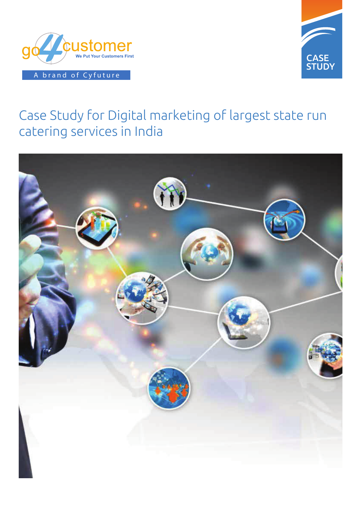



# Case Study for Digital marketing of largest state run catering services in India

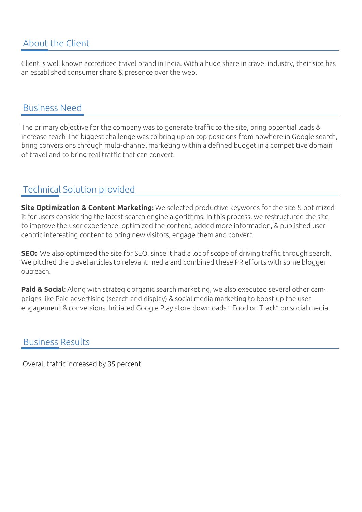# About the Client

Client is well known accredited travel brand in India. With a huge share in travel industry, their site has an established consumer share & presence over the web.

### Business Need

The primary objective for the company was to generate traffic to the site, bring potential leads & increase reach The biggest challenge was to bring up on top positions from nowhere in Google search, bring conversions through multi-channel marketing within a defined budget in a competitive domain of travel and to bring real traffic that can convert.

## Technical Solution provided

**Site Optimization & Content Marketing:** We selected productive keywords for the site & optimized it for users considering the latest search engine algorithms. In this process, we restructured the site to improve the user experience, optimized the content, added more information, & published user centric interesting content to bring new visitors, engage them and convert.

**SEO:** We also optimized the site for SEO, since it had a lot of scope of driving traffic through search. We pitched the travel articles to relevant media and combined these PR efforts with some blogger outreach.

**Paid & Social**: Along with strategic organic search marketing, we also executed several other campaigns like Paid advertising (search and display) & social media marketing to boost up the user engagement & conversions. Initiated Google Play store downloads " Food on Track" on social media.

#### Business Results

Overall traffic increased by 35 percent